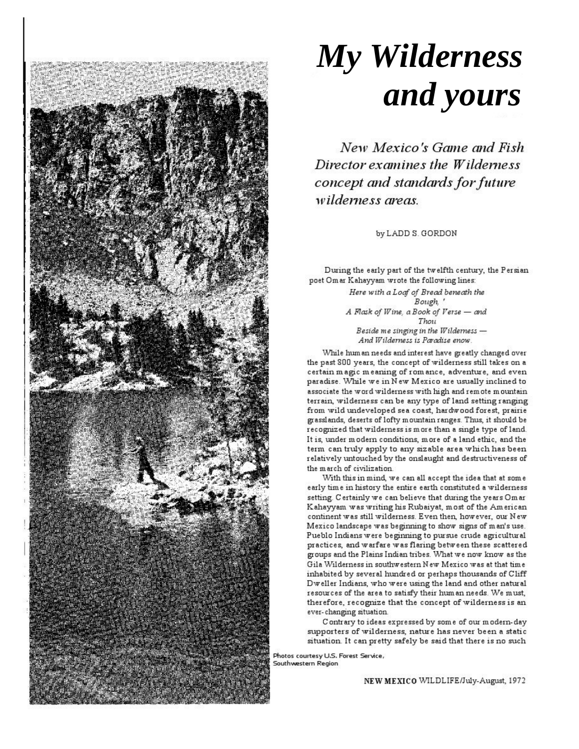

## **My Wilderness** and yours

New Mexico's Game and Fish Director examines the Wilderness concept and standards for future wilderness greas

by LADD S. GORDON

During the early part of the twelfth century, the Persian poet Omar Kahayyam wrote the following lines:

> Here with a Loaf of Bread beneath the Bough, A Flask of Wine, a Book of Verse - and Thou Beside me singing in the Wilderness -And Wilderness is Paradise enow.

While hum an needs and interest have greatly changed over the past 800 years, the concept of wilderness still takes on a certain magic meaning of romance, adventure, and even paradise. While we in New Mexico are usually inclined to associate the word wilderness with high and remote mountain terrain, wilderness can be any type of land setting ranging from wild undeveloped sea coast, hardwood forest, prairie grasslands, deserts of lofty mountain ranges. Thus, it should be recognized that wilderness is more than a single type of land. It is, under modern conditions, more of a land ethic, and the term can truly apply to any sizable area which has been relatively untouched by the onslaught and destructiveness of the march of civilization.

With this in mind, we can all accept the idea that at some early time in history the entire earth constituted a wilderness setting. Certainly we can believe that during the years Omar Kahayyam was writing his Rubaiyat, most of the American continent was still wilderness. Even then, however, our New Mexico landscape was beginning to show signs of man's use. Pueblo Indians were beginning to pursue crude agricultural practices, and warfare was flaring between these scattered groups and the Plains Indian tribes. What we now know as the Gila Wilderness in southwestern New Mexico was at that time inhabited by several hundred or perhaps thousands of Cliff Dweller Indians, who were using the land and other natural resources of the area to satisfy their hum an needs. We must, therefore, recognize that the concept of wilderness is an ever-changing situation.

Contrary to ideas expressed by some of our modern-day supporters of wilderness, nature has never been a static situation. It can pretty safely be said that there is no such

Photos courtesy U.S. Forest Service, Southwestern Region

NEW MEXICO WILDLIFE/July-August, 1972